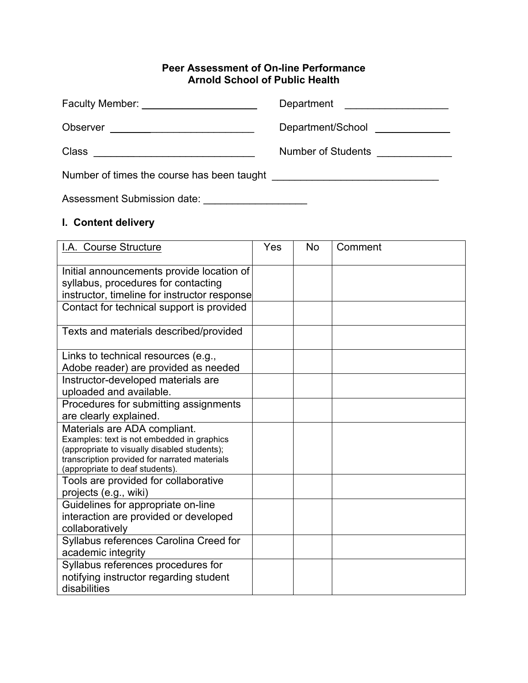#### **Peer Assessment of On-line Performance Arnold School of Public Health**

| <b>Faculty Member:</b> The Contract of the Contract of the Contract of the Contract of the Contract of the Contract of the Contract of the Contract of the Contract of the Contract of the Contract of the Contract of the Contract | Department                |
|-------------------------------------------------------------------------------------------------------------------------------------------------------------------------------------------------------------------------------------|---------------------------|
| Observer                                                                                                                                                                                                                            | Department/School         |
| Class                                                                                                                                                                                                                               | <b>Number of Students</b> |
| Number of times the course has been taught                                                                                                                                                                                          |                           |

Assessment Submission date: \_\_\_\_\_\_\_\_\_\_\_\_\_\_\_\_\_\_

### **I. Content delivery**

| I.A. Course Structure                                                                         | Yes | <b>No</b> | Comment |
|-----------------------------------------------------------------------------------------------|-----|-----------|---------|
|                                                                                               |     |           |         |
| Initial announcements provide location of<br>syllabus, procedures for contacting              |     |           |         |
| instructor, timeline for instructor response                                                  |     |           |         |
| Contact for technical support is provided                                                     |     |           |         |
|                                                                                               |     |           |         |
| Texts and materials described/provided                                                        |     |           |         |
| Links to technical resources (e.g.,                                                           |     |           |         |
| Adobe reader) are provided as needed                                                          |     |           |         |
| Instructor-developed materials are                                                            |     |           |         |
| uploaded and available.                                                                       |     |           |         |
| Procedures for submitting assignments                                                         |     |           |         |
| are clearly explained.                                                                        |     |           |         |
| Materials are ADA compliant.                                                                  |     |           |         |
| Examples: text is not embedded in graphics                                                    |     |           |         |
| (appropriate to visually disabled students);<br>transcription provided for narrated materials |     |           |         |
| (appropriate to deaf students).                                                               |     |           |         |
| Tools are provided for collaborative                                                          |     |           |         |
| projects (e.g., wiki)                                                                         |     |           |         |
| Guidelines for appropriate on-line                                                            |     |           |         |
| interaction are provided or developed                                                         |     |           |         |
| collaboratively                                                                               |     |           |         |
| Syllabus references Carolina Creed for                                                        |     |           |         |
| academic integrity                                                                            |     |           |         |
| Syllabus references procedures for                                                            |     |           |         |
| notifying instructor regarding student                                                        |     |           |         |
| disabilities                                                                                  |     |           |         |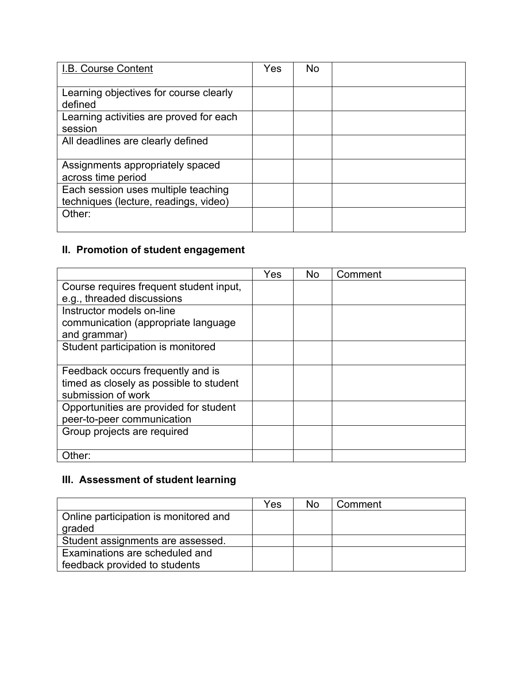| I.B. Course Content                                                          | Yes | <b>No</b> |  |
|------------------------------------------------------------------------------|-----|-----------|--|
| Learning objectives for course clearly<br>defined                            |     |           |  |
| Learning activities are proved for each<br>session                           |     |           |  |
| All deadlines are clearly defined                                            |     |           |  |
| Assignments appropriately spaced<br>across time period                       |     |           |  |
| Each session uses multiple teaching<br>techniques (lecture, readings, video) |     |           |  |
| Other:                                                                       |     |           |  |

# **II. Promotion of student engagement**

|                                         | Yes | <b>No</b> | Comment |
|-----------------------------------------|-----|-----------|---------|
| Course requires frequent student input, |     |           |         |
| e.g., threaded discussions              |     |           |         |
| Instructor models on-line               |     |           |         |
| communication (appropriate language     |     |           |         |
| and grammar)                            |     |           |         |
| Student participation is monitored      |     |           |         |
|                                         |     |           |         |
| Feedback occurs frequently and is       |     |           |         |
| timed as closely as possible to student |     |           |         |
| submission of work                      |     |           |         |
| Opportunities are provided for student  |     |           |         |
| peer-to-peer communication              |     |           |         |
| Group projects are required             |     |           |         |
|                                         |     |           |         |
| Other:                                  |     |           |         |

## **III. Assessment of student learning**

|                                       | Yes | <b>No</b> | Comment |
|---------------------------------------|-----|-----------|---------|
| Online participation is monitored and |     |           |         |
| graded                                |     |           |         |
| Student assignments are assessed.     |     |           |         |
| Examinations are scheduled and        |     |           |         |
| feedback provided to students         |     |           |         |